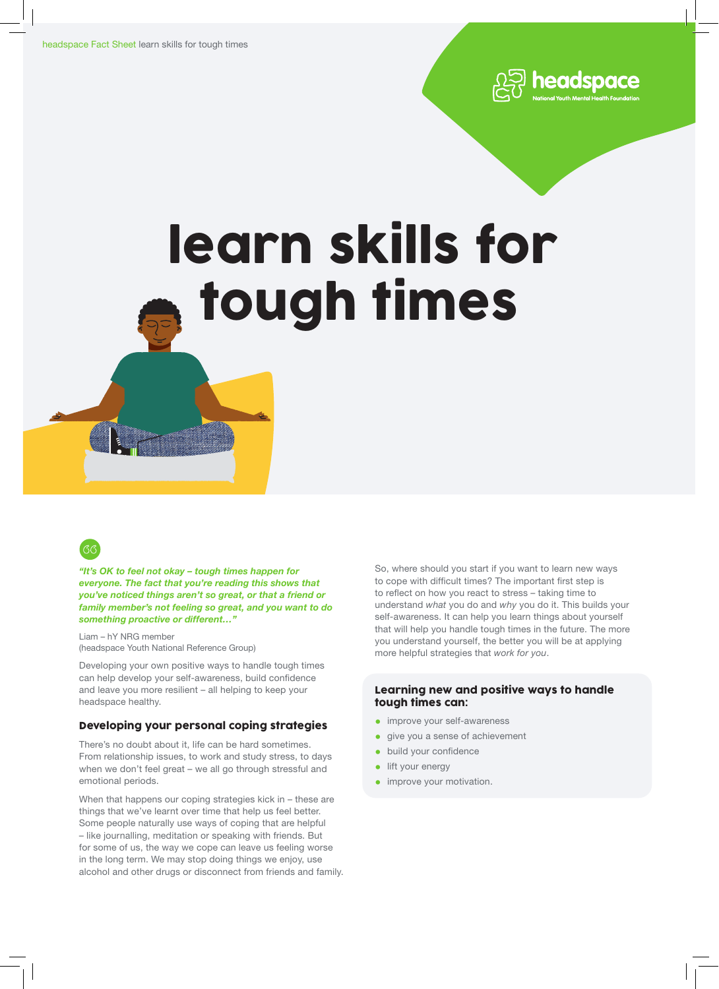

# learn skills for tough times



*"It's OK to feel not okay – tough times happen for everyone. The fact that you're reading this shows that you've noticed things aren't so great, or that a friend or family member's not feeling so great, and you want to do something proactive or different…"*

Liam – hY NRG member (headspace Youth National Reference Group)

Developing your own positive ways to handle tough times can help develop your self-awareness, build confidence and leave you more resilient – all helping to keep your headspace healthy.

# Developing your personal coping strategies

There's no doubt about it, life can be hard sometimes. From relationship issues, to work and study stress, to days when we don't feel great – we all go through stressful and emotional periods.

When that happens our coping strategies kick in – these are things that we've learnt over time that help us feel better. Some people naturally use ways of coping that are helpful – like journalling, meditation or speaking with friends. But for some of us, the way we cope can leave us feeling worse in the long term. We may stop doing things we enjoy, use alcohol and other drugs or disconnect from friends and family. So, where should you start if you want to learn new ways to cope with difficult times? The important first step is to reflect on how you react to stress – taking time to understand *what* you do and *why* you do it. This builds your self-awareness. It can help you learn things about yourself that will help you handle tough times in the future. The more you understand yourself, the better you will be at applying more helpful strategies that *work for you*.

# Learning new and positive ways to handle tough times can:

- improve your self-awareness
- give you a sense of achievement
- build your confidence
- lift your energy
- **•** improve your motivation.